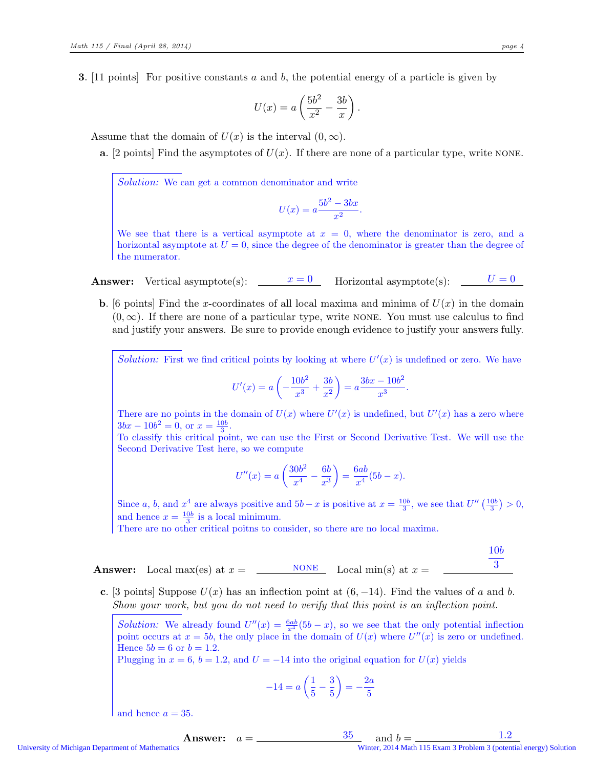**3.** [11 points] For positive constants a and b, the potential energy of a particle is given by

$$
U(x) = a \left(\frac{5b^2}{x^2} - \frac{3b}{x}\right).
$$

Assume that the domain of  $U(x)$  is the interval  $(0, \infty)$ .

**a.** [2 points] Find the asymptotes of  $U(x)$ . If there are none of a particular type, write NONE.

Solution: We can get a common denominator and write

$$
U(x) = a \frac{5b^2 - 3bx}{x^2}.
$$

We see that there is a vertical asymptote at  $x = 0$ , where the denominator is zero, and a horizontal asymptote at  $U = 0$ , since the degree of the denominator is greater than the degree of the numerator.

**Answer:** Vertical asymptote(s):  $x = 0$  Horizontal asymptote(s):  $U = 0$ 

**b.** [6 points] Find the x-coordinates of all local maxima and minima of  $U(x)$  in the domain  $(0, \infty)$ . If there are none of a particular type, write NONE. You must use calculus to find and justify your answers. Be sure to provide enough evidence to justify your answers fully.

Solution: First we find critical points by looking at where  $U'(x)$  is undefined or zero. We have

$$
U'(x) = a\left(-\frac{10b^2}{x^3} + \frac{3b}{x^2}\right) = a\frac{3bx - 10b^2}{x^3}.
$$

There are no points in the domain of  $U(x)$  where  $U'(x)$  is undefined, but  $U'(x)$  has a zero where  $3bx - 10b^2 = 0$ , or  $x = \frac{10b}{3}$ .

To classify this critical point, we can use the First or Second Derivative Test. We will use the Second Derivative Test here, so we compute

$$
U''(x) = a\left(\frac{30b^2}{x^4} - \frac{6b}{x^3}\right) = \frac{6ab}{x^4}(5b - x).
$$

Since a, b, and  $x^4$  are always positive and  $5b - x$  is positive at  $x = \frac{10b}{3}$ , we see that  $U''\left(\frac{10b}{3}\right) > 0$ , and hence  $x = \frac{10b}{3}$  is a local minimum.

There are no other critical poitns to consider, so there are no local maxima.

Answer: Local max(es) at 
$$
x =
$$
 \_\_\_\_\_\_<sub>NOTE</sub> Local min(s) at  $x =$  \_\_\_\_\_\_<sub>3</sub>

c. [3 points] Suppose  $U(x)$  has an inflection point at  $(6, -14)$ . Find the values of a and b. Show your work, but you do not need to verify that this point is an inflection point.

Solution: We already found  $U''(x) = \frac{6ab}{x^4}(5b-x)$ , so we see that the only potential inflection point occurs at  $x = 5b$ , the only place in the domain of  $U(x)$  where  $U''(x)$  is zero or undefined. Hence  $5b = 6$  or  $b = 1.2$ .

Plugging in  $x = 6$ ,  $b = 1.2$ , and  $U = -14$  into the original equation for  $U(x)$  yields

$$
-14 = a\left(\frac{1}{5} - \frac{3}{5}\right) = -\frac{2a}{5}
$$

and hence  $a = 35$ .

**Answer:**  $a = \_$  35 and  $b = \_$  1.2 University of Michigan Department of Mathematics Winter, 2014 Math 115 Exam 3 Problem 3 (potential energy) Solution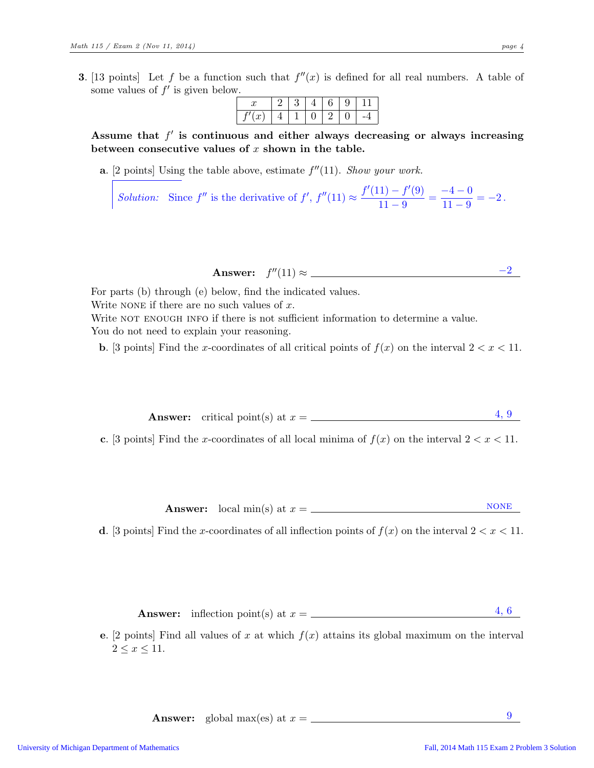**3.** [13 points] Let f be a function such that  $f''(x)$  is defined for all real numbers. A table of some values of  $f'$  is given below.

| u. |  |  | v |  |
|----|--|--|---|--|
| w  |  |  | u |  |

Assume that  $f'$  is continuous and either always decreasing or always increasing between consecutive values of  $x$  shown in the table.

**a.** [2 points] Using the table above, estimate  $f''(11)$ . *Show your work.* 

*Solution:* Since  $f''$  is the derivative of  $f'$ ,  $f''(11) \approx \frac{f'(11) - f'(9)}{11}$  $\frac{(1) - f'(9)}{11 - 9} = \frac{-4 - 0}{11 - 9}$  $\frac{1}{11-9} = -2$ .

Answer:  $f''(11) \approx$   $-2$ 

For parts (b) through (e) below, find the indicated values. Write NONE if there are no such values of  $x$ . Write NOT ENOUGH INFO if there is not sufficient information to determine a value. You do not need to explain your reasoning.

**b.** [3 points] Find the x-coordinates of all critical points of  $f(x)$  on the interval  $2 < x < 11$ .

Answer: critical point(s) at  $x = \underline{\hspace{2cm}}$  4, 9

c. [3 points] Find the x-coordinates of all local minima of  $f(x)$  on the interval  $2 < x < 11$ .

Answer: local min(s) at  $x =$  <u>NONE</u>

d. [3 points] Find the x-coordinates of all inflection points of  $f(x)$  on the interval  $2 < x < 11$ .

Answer: inflection point(s) at  $x = \underline{\hspace{2cm}}$  4, 6

e. [2 points] Find all values of x at which  $f(x)$  attains its global maximum on the interval  $2 \leq x \leq 11$ .

**Answer:** global max(es) at  $x = \underline{\hspace{1cm}}$  9